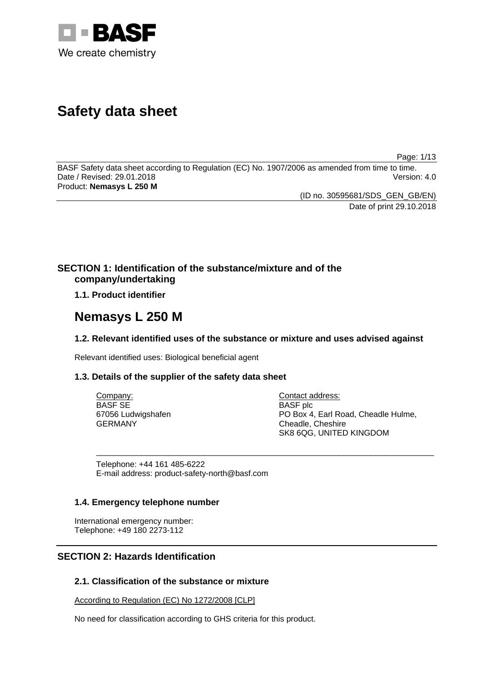

# **Safety data sheet**

Page: 1/13

BASF Safety data sheet according to Regulation (EC) No. 1907/2006 as amended from time to time. Date / Revised: 29.01.2018 Version: 4.0 Product: **Nemasys L 250 M**

> (ID no. 30595681/SDS\_GEN\_GB/EN) Date of print 29.10.2018

# **SECTION 1: Identification of the substance/mixture and of the company/undertaking**

**1.1. Product identifier**

# **Nemasys L 250 M**

# **1.2. Relevant identified uses of the substance or mixture and uses advised against**

Relevant identified uses: Biological beneficial agent

# **1.3. Details of the supplier of the safety data sheet**

| Company:           | Contact address:                    |
|--------------------|-------------------------------------|
| <b>BASF SE</b>     | <b>BASF</b> plc                     |
| 67056 Ludwigshafen | PO Box 4, Earl Road, Cheadle Hulme, |
| GERMANY            | Cheadle, Cheshire                   |
|                    | SK8 6QG, UNITED KINGDOM             |

\_\_\_\_\_\_\_\_\_\_\_\_\_\_\_\_\_\_\_\_\_\_\_\_\_\_\_\_\_\_\_\_\_\_\_\_\_\_\_\_\_\_\_\_\_\_\_\_\_\_\_\_\_\_\_\_\_\_\_\_\_\_\_\_\_\_\_\_\_\_\_\_\_\_\_

Telephone: +44 161 485-6222 E-mail address: product-safety-north@basf.com

# **1.4. Emergency telephone number**

International emergency number: Telephone: +49 180 2273-112

# **SECTION 2: Hazards Identification**

# **2.1. Classification of the substance or mixture**

According to Regulation (EC) No 1272/2008 [CLP]

No need for classification according to GHS criteria for this product.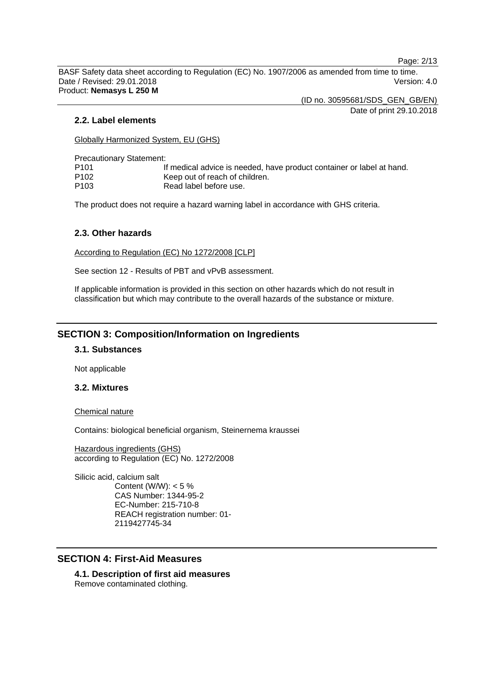Page: 2/13

BASF Safety data sheet according to Regulation (EC) No. 1907/2006 as amended from time to time. Date / Revised: 29.01.2018 Version: 4.0 Product: **Nemasys L 250 M**

(ID no. 30595681/SDS\_GEN\_GB/EN)

Date of print 29.10.2018

### **2.2. Label elements**

Globally Harmonized System, EU (GHS)

Precautionary Statement:

| P101 | If medical advice is needed, have product container or label at hand. |
|------|-----------------------------------------------------------------------|
| P102 | Keep out of reach of children.                                        |
| P103 | Read label before use.                                                |

The product does not require a hazard warning label in accordance with GHS criteria.

### **2.3. Other hazards**

According to Regulation (EC) No 1272/2008 [CLP]

See section 12 - Results of PBT and vPvB assessment.

If applicable information is provided in this section on other hazards which do not result in classification but which may contribute to the overall hazards of the substance or mixture.

# **SECTION 3: Composition/Information on Ingredients**

### **3.1. Substances**

Not applicable

#### **3.2. Mixtures**

Chemical nature

Contains: biological beneficial organism, Steinernema kraussei

Hazardous ingredients (GHS) according to Regulation (EC) No. 1272/2008

Silicic acid, calcium salt Content (W/W):  $< 5 \%$ CAS Number: 1344-95-2 EC-Number: 215-710-8 REACH registration number: 01- 2119427745-34

# **SECTION 4: First-Aid Measures**

**4.1. Description of first aid measures** Remove contaminated clothing.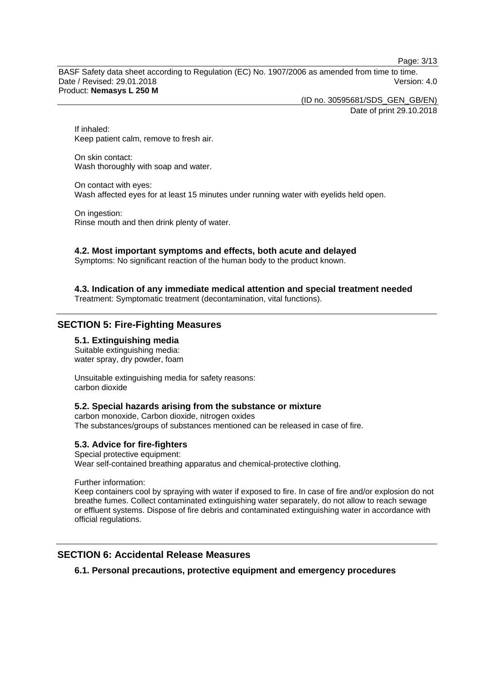Page: 3/13

BASF Safety data sheet according to Regulation (EC) No. 1907/2006 as amended from time to time. Date / Revised: 29.01.2018 Version: 4.0 Product: **Nemasys L 250 M**

> (ID no. 30595681/SDS\_GEN\_GB/EN) Date of print 29.10.2018

If inhaled: Keep patient calm, remove to fresh air.

On skin contact: Wash thoroughly with soap and water.

On contact with eyes: Wash affected eyes for at least 15 minutes under running water with eyelids held open.

On ingestion: Rinse mouth and then drink plenty of water.

### **4.2. Most important symptoms and effects, both acute and delayed**

Symptoms: No significant reaction of the human body to the product known.

# **4.3. Indication of any immediate medical attention and special treatment needed**

Treatment: Symptomatic treatment (decontamination, vital functions).

# **SECTION 5: Fire-Fighting Measures**

### **5.1. Extinguishing media**

Suitable extinguishing media: water spray, dry powder, foam

Unsuitable extinguishing media for safety reasons: carbon dioxide

#### **5.2. Special hazards arising from the substance or mixture**

carbon monoxide, Carbon dioxide, nitrogen oxides The substances/groups of substances mentioned can be released in case of fire.

# **5.3. Advice for fire-fighters**

Special protective equipment: Wear self-contained breathing apparatus and chemical-protective clothing.

Further information:

Keep containers cool by spraying with water if exposed to fire. In case of fire and/or explosion do not breathe fumes. Collect contaminated extinguishing water separately, do not allow to reach sewage or effluent systems. Dispose of fire debris and contaminated extinguishing water in accordance with official regulations.

# **SECTION 6: Accidental Release Measures**

**6.1. Personal precautions, protective equipment and emergency procedures**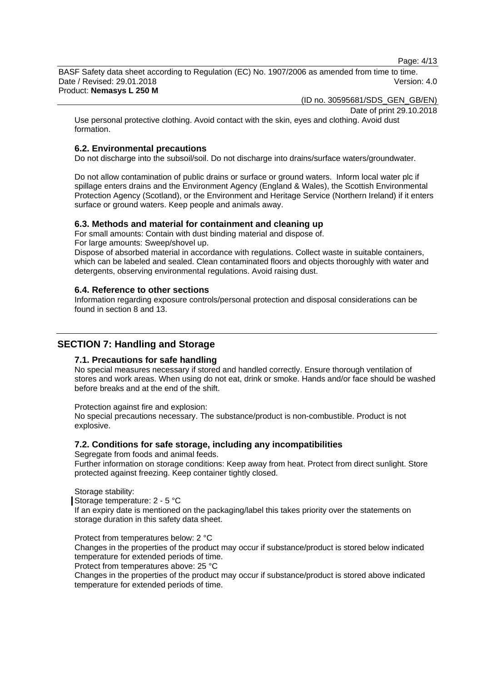Page: 4/13

BASF Safety data sheet according to Regulation (EC) No. 1907/2006 as amended from time to time. Date / Revised: 29.01.2018 Version: 4.0 Product: **Nemasys L 250 M**

(ID no. 30595681/SDS\_GEN\_GB/EN)

Date of print 29.10.2018

Use personal protective clothing. Avoid contact with the skin, eyes and clothing. Avoid dust formation.

### **6.2. Environmental precautions**

Do not discharge into the subsoil/soil. Do not discharge into drains/surface waters/groundwater.

Do not allow contamination of public drains or surface or ground waters. Inform local water plc if spillage enters drains and the Environment Agency (England & Wales), the Scottish Environmental Protection Agency (Scotland), or the Environment and Heritage Service (Northern Ireland) if it enters surface or ground waters. Keep people and animals away.

#### **6.3. Methods and material for containment and cleaning up**

For small amounts: Contain with dust binding material and dispose of.

For large amounts: Sweep/shovel up.

Dispose of absorbed material in accordance with regulations. Collect waste in suitable containers, which can be labeled and sealed. Clean contaminated floors and objects thoroughly with water and detergents, observing environmental regulations. Avoid raising dust.

#### **6.4. Reference to other sections**

Information regarding exposure controls/personal protection and disposal considerations can be found in section 8 and 13.

# **SECTION 7: Handling and Storage**

# **7.1. Precautions for safe handling**

No special measures necessary if stored and handled correctly. Ensure thorough ventilation of stores and work areas. When using do not eat, drink or smoke. Hands and/or face should be washed before breaks and at the end of the shift.

Protection against fire and explosion:

No special precautions necessary. The substance/product is non-combustible. Product is not explosive.

#### **7.2. Conditions for safe storage, including any incompatibilities**

Segregate from foods and animal feeds.

Further information on storage conditions: Keep away from heat. Protect from direct sunlight. Store protected against freezing. Keep container tightly closed.

#### Storage stability:

Storage temperature: 2 - 5 °C

If an expiry date is mentioned on the packaging/label this takes priority over the statements on storage duration in this safety data sheet.

Protect from temperatures below: 2 °C

Changes in the properties of the product may occur if substance/product is stored below indicated temperature for extended periods of time.

Protect from temperatures above: 25 °C

Changes in the properties of the product may occur if substance/product is stored above indicated temperature for extended periods of time.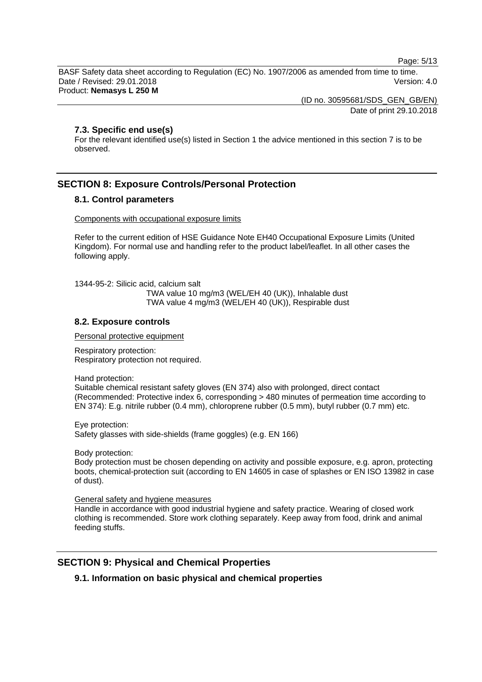Page: 5/13

BASF Safety data sheet according to Regulation (EC) No. 1907/2006 as amended from time to time. Date / Revised: 29.01.2018 Version: 4.0 Product: **Nemasys L 250 M**

> (ID no. 30595681/SDS\_GEN\_GB/EN) Date of print 29.10.2018

### **7.3. Specific end use(s)**

For the relevant identified use(s) listed in Section 1 the advice mentioned in this section 7 is to be observed.

# **SECTION 8: Exposure Controls/Personal Protection**

### **8.1. Control parameters**

#### Components with occupational exposure limits

Refer to the current edition of HSE Guidance Note EH40 Occupational Exposure Limits (United Kingdom). For normal use and handling refer to the product label/leaflet. In all other cases the following apply.

1344-95-2: Silicic acid, calcium salt TWA value 10 mg/m3 (WEL/EH 40 (UK)), Inhalable dust TWA value 4 mg/m3 (WEL/EH 40 (UK)), Respirable dust

# **8.2. Exposure controls**

Personal protective equipment

Respiratory protection: Respiratory protection not required.

Hand protection:

Suitable chemical resistant safety gloves (EN 374) also with prolonged, direct contact (Recommended: Protective index 6, corresponding > 480 minutes of permeation time according to EN 374): E.g. nitrile rubber (0.4 mm), chloroprene rubber (0.5 mm), butyl rubber (0.7 mm) etc.

Eye protection: Safety glasses with side-shields (frame goggles) (e.g. EN 166)

Body protection:

Body protection must be chosen depending on activity and possible exposure, e.g. apron, protecting boots, chemical-protection suit (according to EN 14605 in case of splashes or EN ISO 13982 in case of dust).

General safety and hygiene measures

Handle in accordance with good industrial hygiene and safety practice. Wearing of closed work clothing is recommended. Store work clothing separately. Keep away from food, drink and animal feeding stuffs.

# **SECTION 9: Physical and Chemical Properties**

# **9.1. Information on basic physical and chemical properties**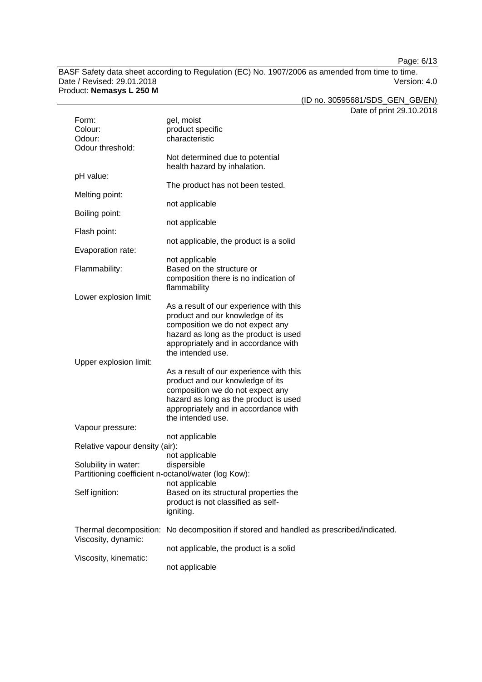Page: 6/13

BASF Safety data sheet according to Regulation (EC) No. 1907/2006 as amended from time to time.<br>Date / Revised: 29.01.2018 Date / Revised: 29.01.2018 Version: 4.0 Product: **Nemasys L 250 M**

(ID no. 30595681/SDS\_GEN\_GB/EN)

Date of print 29.10.2018

| Form:<br>Colour:                                                            | gel, moist<br>product specific                                                                                                                                                                   | Dale of print |
|-----------------------------------------------------------------------------|--------------------------------------------------------------------------------------------------------------------------------------------------------------------------------------------------|---------------|
| Odour:<br>Odour threshold:                                                  | characteristic                                                                                                                                                                                   |               |
|                                                                             | Not determined due to potential<br>health hazard by inhalation.                                                                                                                                  |               |
| pH value:                                                                   | The product has not been tested.                                                                                                                                                                 |               |
| Melting point:                                                              | not applicable                                                                                                                                                                                   |               |
| Boiling point:                                                              | not applicable                                                                                                                                                                                   |               |
| Flash point:                                                                | not applicable, the product is a solid                                                                                                                                                           |               |
| Evaporation rate:                                                           | not applicable                                                                                                                                                                                   |               |
| Flammability:                                                               | Based on the structure or<br>composition there is no indication of<br>flammability                                                                                                               |               |
| Lower explosion limit:                                                      | As a result of our experience with this                                                                                                                                                          |               |
|                                                                             | product and our knowledge of its<br>composition we do not expect any                                                                                                                             |               |
|                                                                             | hazard as long as the product is used<br>appropriately and in accordance with<br>the intended use.                                                                                               |               |
| Upper explosion limit:                                                      |                                                                                                                                                                                                  |               |
|                                                                             | As a result of our experience with this<br>product and our knowledge of its<br>composition we do not expect any<br>hazard as long as the product is used<br>appropriately and in accordance with |               |
| Vapour pressure:                                                            | the intended use.                                                                                                                                                                                |               |
| Relative vapour density (air):                                              | not applicable                                                                                                                                                                                   |               |
| Solubility in water:<br>Partitioning coefficient n-octanol/water (log Kow): | not applicable<br>dispersible                                                                                                                                                                    |               |
| Self ignition:                                                              | not applicable<br>Based on its structural properties the<br>product is not classified as self-<br>igniting.                                                                                      |               |
| Thermal decomposition:<br>Viscosity, dynamic:                               | No decomposition if stored and handled as prescribed/indicated.                                                                                                                                  |               |
|                                                                             | not applicable, the product is a solid                                                                                                                                                           |               |
| Viscosity, kinematic:                                                       | not applicable                                                                                                                                                                                   |               |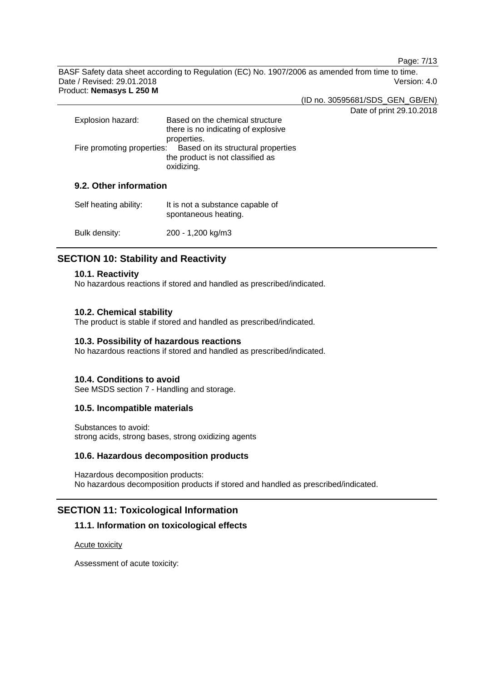Page: 7/13

BASF Safety data sheet according to Regulation (EC) No. 1907/2006 as amended from time to time. Date / Revised: 29.01.2018 Version: 4.0 Product: **Nemasys L 250 M**

(ID no. 30595681/SDS\_GEN\_GB/EN)

Date of print 29.10.2018

| Explosion hazard:      | Based on the chemical structure<br>there is no indicating of explosive<br>properties.                           |  |
|------------------------|-----------------------------------------------------------------------------------------------------------------|--|
|                        | Fire promoting properties: Based on its structural properties<br>the product is not classified as<br>oxidizing. |  |
| 9.2. Other information |                                                                                                                 |  |

| Self heating ability: | It is not a substance capable of<br>spontaneous heating. |
|-----------------------|----------------------------------------------------------|
| Bulk density:         | 200 - 1,200 kg/m3                                        |

# **SECTION 10: Stability and Reactivity**

# **10.1. Reactivity**

No hazardous reactions if stored and handled as prescribed/indicated.

# **10.2. Chemical stability**

The product is stable if stored and handled as prescribed/indicated.

### **10.3. Possibility of hazardous reactions**

No hazardous reactions if stored and handled as prescribed/indicated.

# **10.4. Conditions to avoid**

See MSDS section 7 - Handling and storage.

# **10.5. Incompatible materials**

Substances to avoid: strong acids, strong bases, strong oxidizing agents

# **10.6. Hazardous decomposition products**

Hazardous decomposition products: No hazardous decomposition products if stored and handled as prescribed/indicated.

# **SECTION 11: Toxicological Information**

# **11.1. Information on toxicological effects**

Acute toxicity

Assessment of acute toxicity: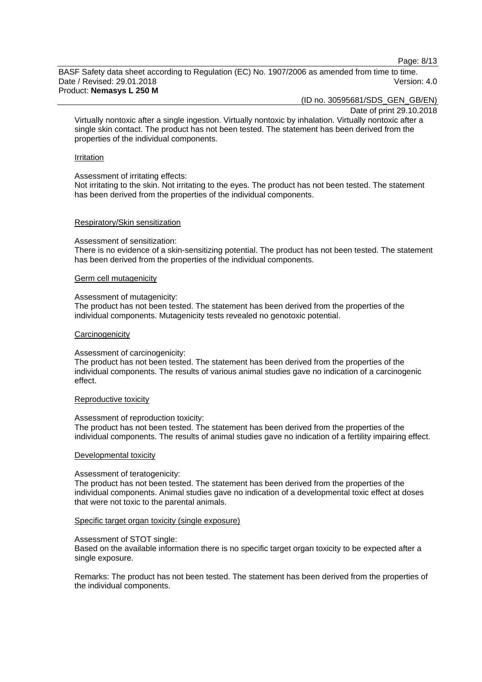Page: 8/13

BASF Safety data sheet according to Regulation (EC) No. 1907/2006 as amended from time to time. Date / Revised: 29.01.2018 Version: 4.0 Product: **Nemasys L 250 M**

(ID no. 30595681/SDS\_GEN\_GB/EN)

Date of print 29.10.2018

Virtually nontoxic after a single ingestion. Virtually nontoxic by inhalation. Virtually nontoxic after a single skin contact. The product has not been tested. The statement has been derived from the properties of the individual components.

#### Irritation

#### Assessment of irritating effects:

Not irritating to the skin. Not irritating to the eyes. The product has not been tested. The statement has been derived from the properties of the individual components.

#### Respiratory/Skin sensitization

#### Assessment of sensitization:

There is no evidence of a skin-sensitizing potential. The product has not been tested. The statement has been derived from the properties of the individual components.

#### Germ cell mutagenicity

#### Assessment of mutagenicity:

The product has not been tested. The statement has been derived from the properties of the individual components. Mutagenicity tests revealed no genotoxic potential.

#### **Carcinogenicity**

#### Assessment of carcinogenicity:

The product has not been tested. The statement has been derived from the properties of the individual components. The results of various animal studies gave no indication of a carcinogenic effect.

#### Reproductive toxicity

#### Assessment of reproduction toxicity:

The product has not been tested. The statement has been derived from the properties of the individual components. The results of animal studies gave no indication of a fertility impairing effect.

#### Developmental toxicity

#### Assessment of teratogenicity:

The product has not been tested. The statement has been derived from the properties of the individual components. Animal studies gave no indication of a developmental toxic effect at doses that were not toxic to the parental animals.

#### Specific target organ toxicity (single exposure)

#### Assessment of STOT single:

Based on the available information there is no specific target organ toxicity to be expected after a single exposure.

Remarks: The product has not been tested. The statement has been derived from the properties of the individual components.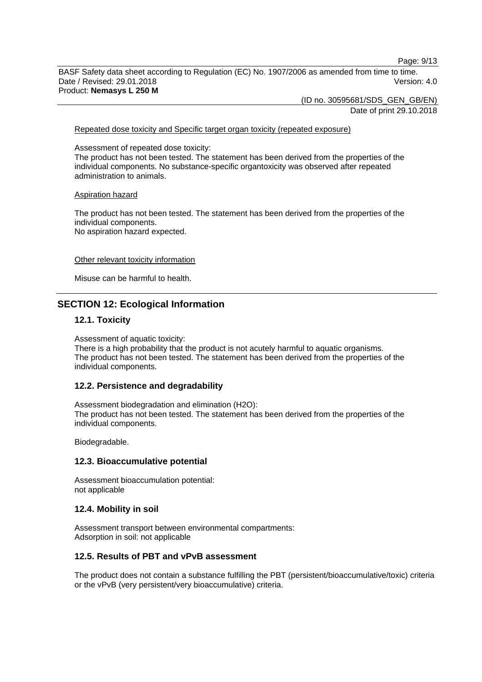Page: 9/13

BASF Safety data sheet according to Regulation (EC) No. 1907/2006 as amended from time to time. Date / Revised: 29.01.2018 Version: 4.0 Product: **Nemasys L 250 M**

> (ID no. 30595681/SDS\_GEN\_GB/EN) Date of print 29.10.2018

Repeated dose toxicity and Specific target organ toxicity (repeated exposure)

Assessment of repeated dose toxicity:

The product has not been tested. The statement has been derived from the properties of the individual components. No substance-specific organtoxicity was observed after repeated administration to animals.

#### Aspiration hazard

The product has not been tested. The statement has been derived from the properties of the individual components. No aspiration hazard expected.

#### Other relevant toxicity information

Misuse can be harmful to health.

# **SECTION 12: Ecological Information**

### **12.1. Toxicity**

Assessment of aquatic toxicity:

There is a high probability that the product is not acutely harmful to aquatic organisms. The product has not been tested. The statement has been derived from the properties of the individual components.

### **12.2. Persistence and degradability**

Assessment biodegradation and elimination (H2O): The product has not been tested. The statement has been derived from the properties of the individual components.

Biodegradable.

#### **12.3. Bioaccumulative potential**

Assessment bioaccumulation potential: not applicable

#### **12.4. Mobility in soil**

Assessment transport between environmental compartments: Adsorption in soil: not applicable

### **12.5. Results of PBT and vPvB assessment**

The product does not contain a substance fulfilling the PBT (persistent/bioaccumulative/toxic) criteria or the vPvB (very persistent/very bioaccumulative) criteria.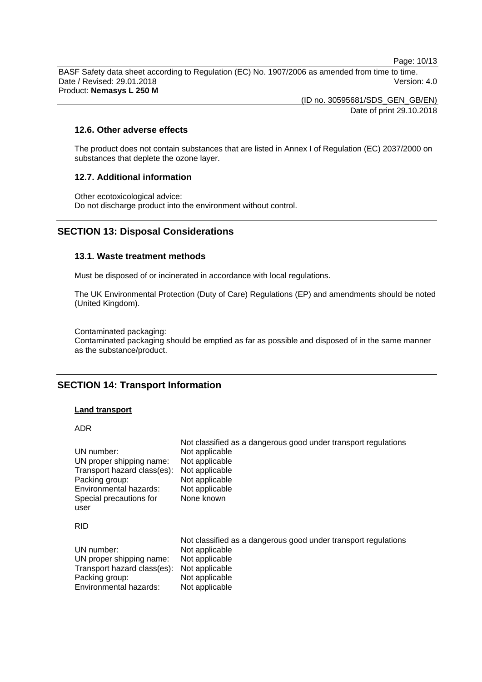Page: 10/13

BASF Safety data sheet according to Regulation (EC) No. 1907/2006 as amended from time to time. Date / Revised: 29.01.2018 Version: 4.0 Product: **Nemasys L 250 M**

> (ID no. 30595681/SDS\_GEN\_GB/EN) Date of print 29.10.2018

### **12.6. Other adverse effects**

The product does not contain substances that are listed in Annex I of Regulation (EC) 2037/2000 on substances that deplete the ozone layer.

### **12.7. Additional information**

Other ecotoxicological advice: Do not discharge product into the environment without control.

# **SECTION 13: Disposal Considerations**

#### **13.1. Waste treatment methods**

Must be disposed of or incinerated in accordance with local regulations.

The UK Environmental Protection (Duty of Care) Regulations (EP) and amendments should be noted (United Kingdom).

Contaminated packaging:

Contaminated packaging should be emptied as far as possible and disposed of in the same manner as the substance/product.

# **SECTION 14: Transport Information**

#### **Land transport**

ADR

| UN number:<br>UN proper shipping name:<br>Transport hazard class(es):<br>Packing group:<br>Environmental hazards:<br>Special precautions for<br>user | Not classified as a dangerous good under transport regulations<br>Not applicable<br>Not applicable<br>Not applicable<br>Not applicable<br>Not applicable<br>None known |
|------------------------------------------------------------------------------------------------------------------------------------------------------|------------------------------------------------------------------------------------------------------------------------------------------------------------------------|
| <b>RID</b>                                                                                                                                           |                                                                                                                                                                        |
| UN number:<br>UN proper shipping name:<br>Transport hazard class(es):<br>Packing group:<br>Environmental hazards:                                    | Not classified as a dangerous good under transport regulations<br>Not applicable<br>Not applicable<br>Not applicable<br>Not applicable<br>Not applicable               |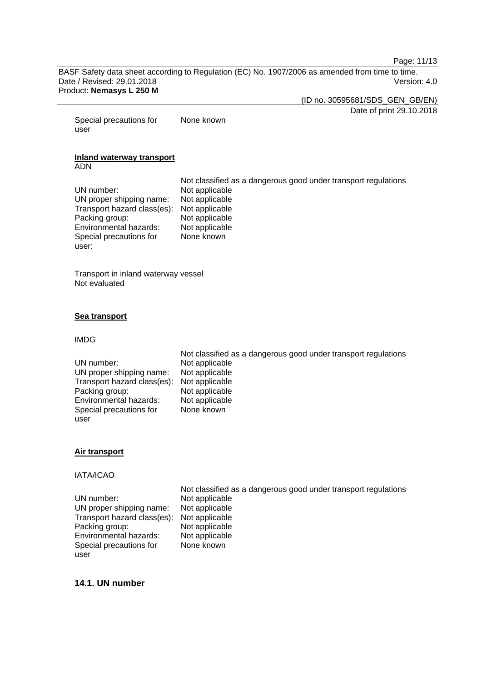Page: 11/13

BASF Safety data sheet according to Regulation (EC) No. 1907/2006 as amended from time to time. Date / Revised: 29.01.2018 Version: 4.0 Product: **Nemasys L 250 M**

(ID no. 30595681/SDS\_GEN\_GB/EN)

Date of print 29.10.2018

Special precautions for user None known

#### **Inland waterway transport** ADN

Not classified as a dangerous good under transport regulations UN number: Not applicable<br>UN proper shipping name: Not applicable UN proper shipping name: Not applicable<br>Transport hazard class(es): Not applicable Transport hazard class(es): Packing group: Not applicable<br>
Environmental hazards: Not applicable Environmental hazards: Special precautions for None known

Transport in inland waterway vessel Not evaluated

#### **Sea transport**

#### IMDG

user:

#### **Air transport**

### IATA/ICAO

UN number: Not applicable UN proper shipping name: Not applicable<br>Transport hazard class(es): Not applicable Transport hazard class(es): Not applicable<br>Packing group: Not applicable Packing group: Not applicable<br>
Environmental hazards: Not applicable Environmental hazards: Special precautions for user

Not classified as a dangerous good under transport regulations None known

Not classified as a dangerous good under transport regulations

# **14.1. UN number**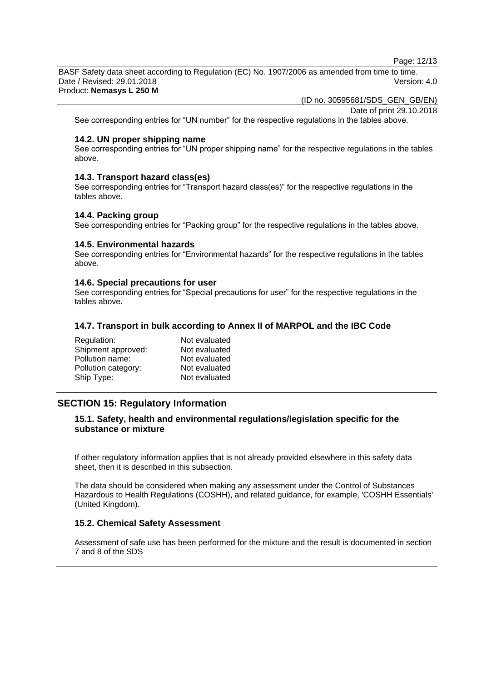Page: 12/13

BASF Safety data sheet according to Regulation (EC) No. 1907/2006 as amended from time to time. Date / Revised: 29.01.2018 Version: 4.0 Product: **Nemasys L 250 M**

(ID no. 30595681/SDS\_GEN\_GB/EN)

Date of print 29.10.2018

See corresponding entries for "UN number" for the respective regulations in the tables above.

### **14.2. UN proper shipping name**

See corresponding entries for "UN proper shipping name" for the respective regulations in the tables above.

### **14.3. Transport hazard class(es)**

See corresponding entries for "Transport hazard class(es)" for the respective regulations in the tables above.

#### **14.4. Packing group**

See corresponding entries for "Packing group" for the respective regulations in the tables above.

# **14.5. Environmental hazards**

See corresponding entries for "Environmental hazards" for the respective regulations in the tables above.

### **14.6. Special precautions for user**

See corresponding entries for "Special precautions for user" for the respective regulations in the tables above.

# **14.7. Transport in bulk according to Annex II of MARPOL and the IBC Code**

| Regulation:         | Not evaluated |
|---------------------|---------------|
| Shipment approved:  | Not evaluated |
| Pollution name:     | Not evaluated |
| Pollution category: | Not evaluated |
| Ship Type:          | Not evaluated |

# **SECTION 15: Regulatory Information**

# **15.1. Safety, health and environmental regulations/legislation specific for the substance or mixture**

If other regulatory information applies that is not already provided elsewhere in this safety data sheet, then it is described in this subsection.

The data should be considered when making any assessment under the Control of Substances Hazardous to Health Regulations (COSHH), and related guidance, for example, 'COSHH Essentials' (United Kingdom).

# **15.2. Chemical Safety Assessment**

Assessment of safe use has been performed for the mixture and the result is documented in section 7 and 8 of the SDS